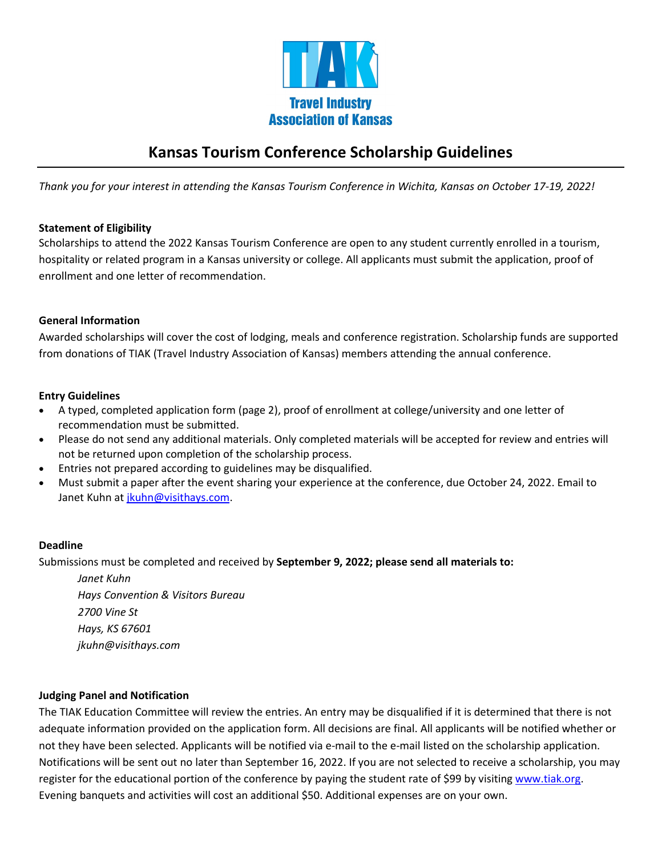

# **Kansas Tourism Conference Scholarship Guidelines**

*Thank you for your interest in attending the Kansas Tourism Conference in Wichita, Kansas on October 17-19, 2022!* 

## **Statement of Eligibility**

Scholarships to attend the 2022 Kansas Tourism Conference are open to any student currently enrolled in a tourism, hospitality or related program in a Kansas university or college. All applicants must submit the application, proof of enrollment and one letter of recommendation.

## **General Information**

Awarded scholarships will cover the cost of lodging, meals and conference registration. Scholarship funds are supported from donations of TIAK (Travel Industry Association of Kansas) members attending the annual conference.

#### **Entry Guidelines**

- A typed, completed application form (page 2), proof of enrollment at college/university and one letter of recommendation must be submitted.
- Please do not send any additional materials. Only completed materials will be accepted for review and entries will not be returned upon completion of the scholarship process.
- Entries not prepared according to guidelines may be disqualified.
- Must submit a paper after the event sharing your experience at the conference, due October 24, 2022. Email to Janet Kuhn at [jkuhn@visithays.com.](mailto:jkuhn@visithays.com)

#### **Deadline**

Submissions must be completed and received by **September 9, 2022; please send all materials to:**

*Janet Kuhn Hays Convention & Visitors Bureau 2700 Vine St Hays, KS 67601 jkuhn@visithays.com*

#### **Judging Panel and Notification**

The TIAK Education Committee will review the entries. An entry may be disqualified if it is determined that there is not adequate information provided on the application form. All decisions are final. All applicants will be notified whether or not they have been selected. Applicants will be notified via e-mail to the e-mail listed on the scholarship application. Notifications will be sent out no later than September 16, 2022. If you are not selected to receive a scholarship, you may register for the educational portion of the conference by paying the student rate of \$99 by visitin[g www.tiak.org.](http://www.tiak.org/) Evening banquets and activities will cost an additional \$50. Additional expenses are on your own.